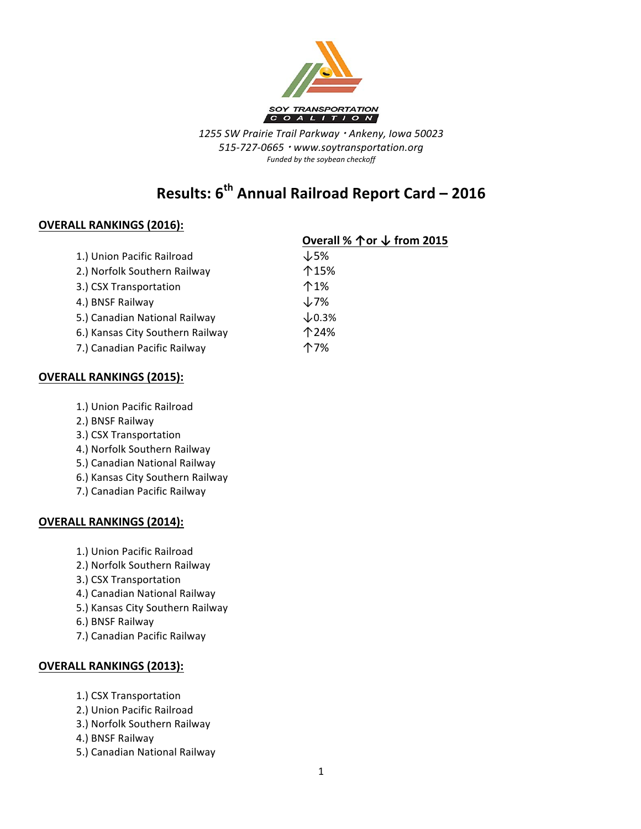

*1255 SW Prairie Trail Parkway* <sup>¬</sup> *Ankeny, Iowa 50023 515-727-0665* <sup>¬</sup> *www.soytransportation.org* Funded by the soybean checkoff

# **Results: 6th Annual Railroad Report Card – 2016**

### **OVERALL RANKINGS (2016):**

|                                  | Overall % ↑ or ↓ from 2015 |
|----------------------------------|----------------------------|
| 1.) Union Pacific Railroad       | $\downarrow$ 5%            |
| 2.) Norfolk Southern Railway     | 个15%                       |
| 3.) CSX Transportation           | 个1%                        |
| 4.) BNSF Railway                 | $\downarrow$ 7%            |
| 5.) Canadian National Railway    | $\times$ 0.3%              |
| 6.) Kansas City Southern Railway | 个24%                       |
| 7.) Canadian Pacific Railway     | 个7%                        |
|                                  |                            |

#### **OVERALL RANKINGS (2015):**

- 1.) Union Pacific Railroad
- 2.) BNSF Railway
- 3.) CSX Transportation
- 4.) Norfolk Southern Railway
- 5.) Canadian National Railway
- 6.) Kansas City Southern Railway
- 7.) Canadian Pacific Railway

#### **OVERALL RANKINGS (2014):**

- 1.) Union Pacific Railroad
- 2.) Norfolk Southern Railway
- 3.) CSX Transportation
- 4.) Canadian National Railway
- 5.) Kansas City Southern Railway
- 6.) BNSF Railway
- 7.) Canadian Pacific Railway

#### **OVERALL RANKINGS (2013):**

- 1.) CSX Transportation
- 2.) Union Pacific Railroad
- 3.) Norfolk Southern Railway
- 4.) BNSF Railway
- 5.) Canadian National Railway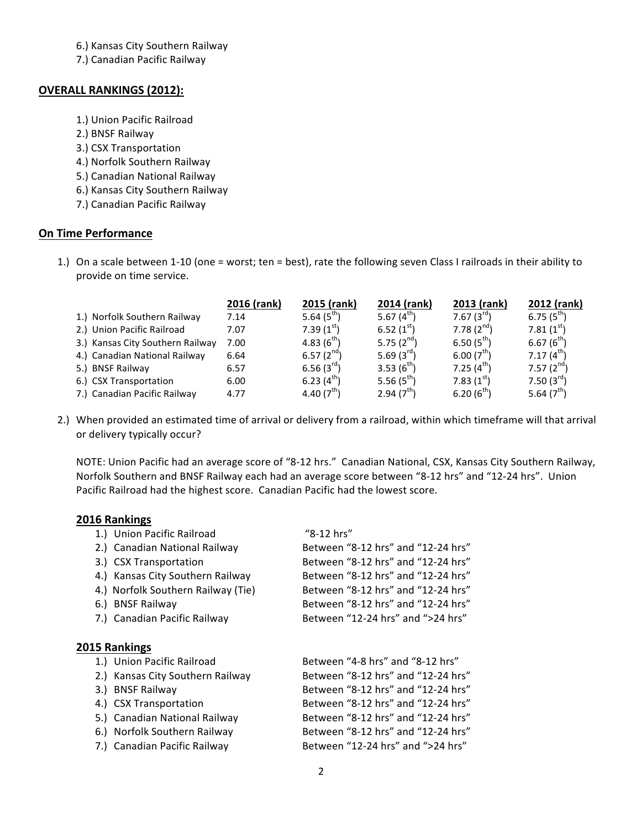6.) Kansas City Southern Railway

7.) Canadian Pacific Railway

#### **OVERALL RANKINGS (2012):**

- 1.) Union Pacific Railroad
- 2.) BNSF Railway
- 3.) CSX Transportation
- 4.) Norfolk Southern Railway
- 5.) Canadian National Railway
- 6.) Kansas City Southern Railway
- 7.) Canadian Pacific Railway

#### **On Time Performance**

1.) On a scale between 1-10 (one = worst; ten = best), rate the following seven Class I railroads in their ability to provide on time service.

|                                  | 2016 (rank) | 2015 (rank)     | 2014 (rank)            | 2013 (rank)            | 2012 (rank)     |
|----------------------------------|-------------|-----------------|------------------------|------------------------|-----------------|
| 1.) Norfolk Southern Railway     | 7.14        | 5.64 $(5^{th})$ | 5.67 $(4^{th})$        | $7.67(3^{rd})$         | $6.75(5^{th})$  |
| 2.) Union Pacific Railroad       | 7.07        | $7.39(1^{st})$  | 6.52 $(1st)$           | 7.78 $(2^{nd})$        | $7.81(1^{st})$  |
| 3.) Kansas City Southern Railway | 7.00        | 4.83 $(6^{th})$ | 5.75 $(2^{nd})$        | $6.50(5^{th})$         | 6.67 $(6^{th})$ |
| 4.) Canadian National Railway    | 6.64        | 6.57 $(2^{nd})$ | 5.69 $(3^{rd})$        | 6.00(7 <sup>th</sup> ) | 7.17 $(4^{th})$ |
| 5.) BNSF Railway                 | 6.57        | 6.56 $(3^{rd})$ | 3.53 $(6^{th})$        | $7.25(4^{th})$         | 7.57 $(2^{nd})$ |
| 6.) CSX Transportation           | 6.00        | 6.23 $(4th)$    | 5.56 $(5^{th})$        | $7.83(1^{st})$         | 7.50 $(3^{rd})$ |
| 7.) Canadian Pacific Railway     | 4.77        | 4.40 $(7th)$    | 2.94(7 <sup>th</sup> ) | 6.20(6 <sup>th</sup> ) | 5.64 $(7th)$    |

2.) When provided an estimated time of arrival or delivery from a railroad, within which timeframe will that arrival or delivery typically occur?

NOTE: Union Pacific had an average score of "8-12 hrs." Canadian National, CSX, Kansas City Southern Railway, Norfolk Southern and BNSF Railway each had an average score between "8-12 hrs" and "12-24 hrs". Union Pacific Railroad had the highest score. Canadian Pacific had the lowest score.

#### **2016 Rankings**

| 1.) Union Pacific Railroad         | "8-12 hrs"                         |
|------------------------------------|------------------------------------|
| 2.) Canadian National Railway      | Between "8-12 hrs" and "12-24 hrs" |
| 3.) CSX Transportation             | Between "8-12 hrs" and "12-24 hrs" |
| 4.) Kansas City Southern Railway   | Between "8-12 hrs" and "12-24 hrs" |
| 4.) Norfolk Southern Railway (Tie) | Between "8-12 hrs" and "12-24 hrs" |
| 6.) BNSF Railway                   | Between "8-12 hrs" and "12-24 hrs" |
| 7.) Canadian Pacific Railway       | Between "12-24 hrs" and ">24 hrs"  |
|                                    |                                    |
| 2015 Rankings                      |                                    |
| 1.) Union Pacific Railroad         | Between "4-8 hrs" and "8-12 hrs"   |
|                                    |                                    |
| 2.) Kansas City Southern Railway   | Between "8-12 hrs" and "12-24 hrs" |
| 3.) BNSF Railway                   | Between "8-12 hrs" and "12-24 hrs" |
| 4.) CSX Transportation             | Between "8-12 hrs" and "12-24 hrs" |
| 5.) Canadian National Railway      | Between "8-12 hrs" and "12-24 hrs" |
| 6.) Norfolk Southern Railway       | Between "8-12 hrs" and "12-24 hrs" |
| 7.) Canadian Pacific Railway       | Between "12-24 hrs" and ">24 hrs"  |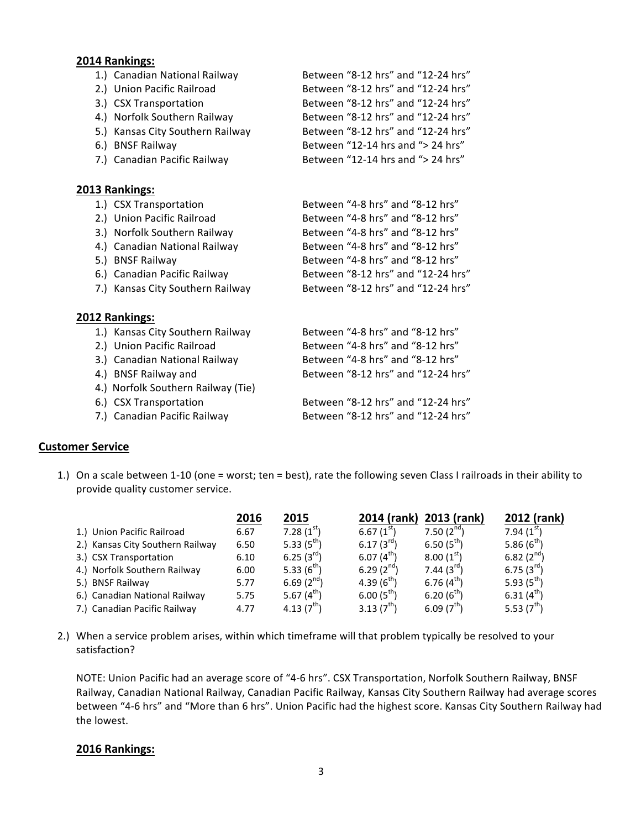#### **2014 Rankings:**

| 1.) Canadian National Railway    | Between "8-12 hrs" and "12-24 hrs" |
|----------------------------------|------------------------------------|
| 2.) Union Pacific Railroad       | Between "8-12 hrs" and "12-24 hrs" |
| 3.) CSX Transportation           | Between "8-12 hrs" and "12-24 hrs" |
| 4.) Norfolk Southern Railway     | Between "8-12 hrs" and "12-24 hrs" |
| 5.) Kansas City Southern Railway | Between "8-12 hrs" and "12-24 hrs" |
| 6.) BNSF Railway                 | Between "12-14 hrs and "> 24 hrs"  |
| 7.) Canadian Pacific Railway     | Between "12-14 hrs and "> 24 hrs"  |
|                                  |                                    |
| 2013 Rankings:                   |                                    |

|                | 1.) CSX Transportation           | Between "4-8 hrs" and "8-12 hrs"   |
|----------------|----------------------------------|------------------------------------|
|                | 2.) Union Pacific Railroad       | Between "4-8 hrs" and "8-12 hrs"   |
|                | 3.) Norfolk Southern Railway     | Between "4-8 hrs" and "8-12 hrs"   |
|                | 4.) Canadian National Railway    | Between "4-8 hrs" and "8-12 hrs"   |
|                | 5.) BNSF Railway                 | Between "4-8 hrs" and "8-12 hrs"   |
|                | 6.) Canadian Pacific Railway     | Between "8-12 hrs" and "12-24 hrs" |
|                | 7.) Kansas City Southern Railway | Between "8-12 hrs" and "12-24 hrs" |
|                |                                  |                                    |
| 2012 Rankings: |                                  |                                    |

| 1.) Kansas City Southern Railway   | Between "4-8 hrs" and "8-12 hrs"   |
|------------------------------------|------------------------------------|
| 2.) Union Pacific Railroad         | Between "4-8 hrs" and "8-12 hrs"   |
| 3.) Canadian National Railway      | Between "4-8 hrs" and "8-12 hrs"   |
| 4.) BNSF Railway and               | Between "8-12 hrs" and "12-24 hrs" |
| 4.) Norfolk Southern Railway (Tie) |                                    |
| 6.) CSX Transportation             | Between "8-12 hrs" and "12-24 hrs" |
| 7.) Canadian Pacific Railway       | Between "8-12 hrs" and "12-24 hrs" |
|                                    |                                    |

### **Customer Service**

1.) On a scale between 1-10 (one = worst; ten = best), rate the following seven Class I railroads in their ability to provide quality customer service.

|                                  | 2016 | 2015            | 2014 (rank)         | 2013 (rank)            | 2012 (rank)         |
|----------------------------------|------|-----------------|---------------------|------------------------|---------------------|
| 1.) Union Pacific Railroad       | 6.67 | 7.28 $(1st)$    | 6.67 $(1^{\rm st})$ | 7.50 $(2^{nd})$        | 7.94 $(1^{\rm st})$ |
| 2.) Kansas City Southern Railway | 6.50 | 5.33 $(5^{th})$ | 6.17 $(3^{ra})$     | $6.50(5^{th})$         | 5.86 $(6^{th})$     |
| 3.) CSX Transportation           | 6.10 | 6.25 $(3^{rd})$ | $6.07(4^{th})$      | 8.00(1 <sup>st</sup> ) | 6.82 $(2^{nd})$     |
| 4.) Norfolk Southern Railway     | 6.00 | 5.33 $(6^{th})$ | 6.29 $(2^{nd})$     | 7.44 $(3^{10})$        | 6.75 $(3^{rd})$     |
| 5.) BNSF Railway                 | 5.77 | 6.69 $(2^{nd})$ | 4.39 $(6^{th})$     | 6.76 $(4th)$           | 5.93 $(5^{th})$     |
| 6.) Canadian National Railway    | 5.75 | 5.67 $(4^{th})$ | $6.00(5^{th})$      | $6.20(6^{th})$         | 6.31 $(4^{th})$     |
| 7.) Canadian Pacific Railway     | 4.77 | 4.13 $(7^{th})$ | 3.13 $(7th)$        | 6.09 $(7th)$           | 5.53 $(7^{th})$     |

2.) When a service problem arises, within which timeframe will that problem typically be resolved to your satisfaction?

NOTE: Union Pacific had an average score of "4-6 hrs". CSX Transportation, Norfolk Southern Railway, BNSF Railway, Canadian National Railway, Canadian Pacific Railway, Kansas City Southern Railway had average scores between "4-6 hrs" and "More than 6 hrs". Union Pacific had the highest score. Kansas City Southern Railway had the lowest.

#### **2016 Rankings:**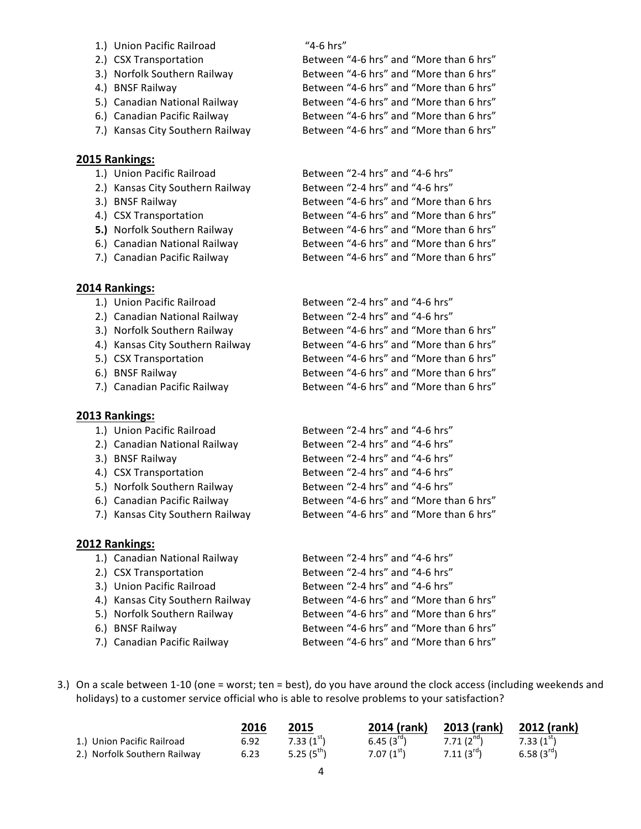- 1.) Union Pacific Railroad "4-6 hrs"
- 
- 
- 
- 
- 
- 

#### **2015 Rankings:**

- 
- 
- 
- 
- 
- 
- 

#### **2014 Rankings:**

- 1.) Union Pacific Railroad
- 2.) Canadian National Railway
- 3.) Norfolk Southern Railway
- 4.) Kansas City Southern Railway
- 5.) CSX Transportation
- 6.) BNSF Railway
- 7.) Canadian Pacific Railway

#### **2013 Rankings:**

- 1.) Union Pacific Railroad
- 2.) Canadian National Railway
- 3.) BNSF Railway
- 4.) CSX Transportation
- 5.) Norfolk Southern Railway
- 6.) Canadian Pacific Railway
- 7.) Kansas City Southern Railway

#### **2012 Rankings:**

- 1.) Canadian National Railway Between "2-4 hrs" and "4-6 hrs" 2.) CSX Transportation Between "2-4 hrs" and "4-6 hrs" 3.) Union Pacific Railroad Between "2-4 hrs" and "4-6 hrs" 4.) Kansas City Southern Railway Between "4-6 hrs" and "More than 6 hrs" 5.) Norfolk Southern Railway Between "4-6 hrs" and "More than 6 hrs" 6.) BNSF Railway **Between** "4-6 hrs" and "More than 6 hrs" 7.) Canadian Pacific Railway Between "4-6 hrs" and "More than 6 hrs"
- 3.) On a scale between 1-10 (one = worst; ten = best), do you have around the clock access (including weekends and holidays) to a customer service official who is able to resolve problems to your satisfaction?

|                              | 2016 | 2015            | 2014 (rank)     | 2013 (rank)    | 2012 (rank)      |
|------------------------------|------|-----------------|-----------------|----------------|------------------|
| 1.) Union Pacific Railroad   | 6.92 | $7.33(1^{st})$  | 6.45 $(3^{rd})$ | $7.71(2^{nd})$ | $7.33(1^{st})$   |
| 2.) Norfolk Southern Railway | 6.23 | 5.25 $(5^{th})$ | $7.07(1^{st})$  | $7.11(3^{rd})$ | 6.58 $(3^{r_0})$ |

2.) CSX Transportation Between "4-6 hrs" and "More than 6 hrs" 3.) Norfolk Southern Railway Between "4-6 hrs" and "More than 6 hrs" 4.) BNSF Railway **Between** "4-6 hrs" and "More than 6 hrs" 5.) Canadian National Railway Between "4-6 hrs" and "More than 6 hrs" 6.) Canadian Pacific Railway Between "4-6 hrs" and "More than 6 hrs" 7.) Kansas City Southern Railway Between "4-6 hrs" and "More than 6 hrs"

## 1.) Union Pacific Railroad Between "2-4 hrs" and "4-6 hrs" 2.) Kansas City Southern Railway Between "2-4 hrs" and "4-6 hrs" 3.) BNSF Railway Between "4-6 hrs" and "More than 6 hrs 4.) CSX Transportation **Between** "4-6 hrs" and "More than 6 hrs" **5.)** Norfolk Southern Railway Between "4-6 hrs" and "More than 6 hrs" 6.) Canadian National Railway Between "4-6 hrs" and "More than 6 hrs" 7.) Canadian Pacific Railway Between "4-6 hrs" and "More than 6 hrs"

| Between "2-4 hrs" and "4-6 hrs"         |
|-----------------------------------------|
| Between "2-4 hrs" and "4-6 hrs"         |
| Between "4-6 hrs" and "More than 6 hrs" |
| Between "4-6 hrs" and "More than 6 hrs" |
| Between "4-6 hrs" and "More than 6 hrs" |
| Between "4-6 hrs" and "More than 6 hrs" |
| Between "4-6 hrs" and "More than 6 hrs" |

| Between "2-4 hrs" and "4-6 hrs"         |
|-----------------------------------------|
| Between "2-4 hrs" and "4-6 hrs"         |
| Between "2-4 hrs" and "4-6 hrs"         |
| Between "2-4 hrs" and "4-6 hrs"         |
| Between "2-4 hrs" and "4-6 hrs"         |
| Between "4-6 hrs" and "More than 6 hrs" |
| Between "4-6 hrs" and "More than 6 hrs" |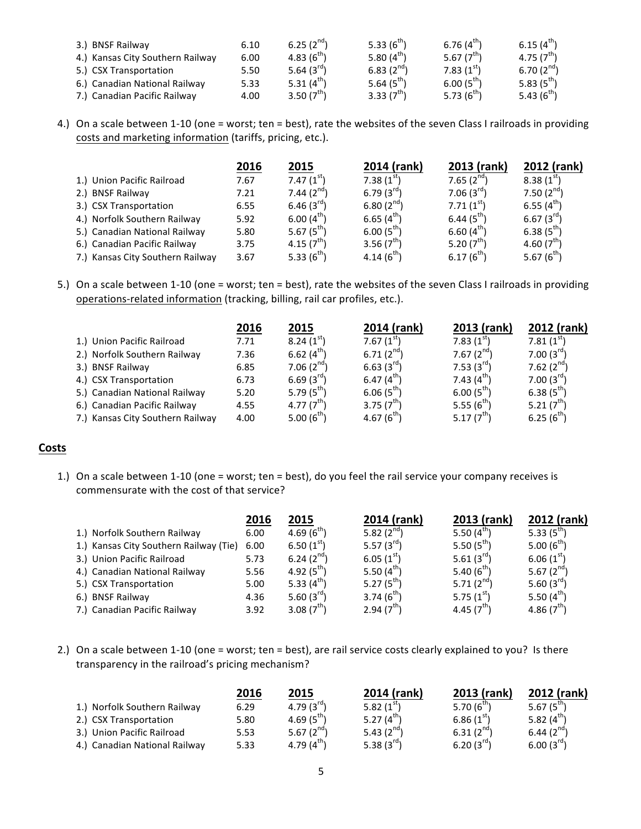| 3.) BNSF Railway                 | 6.10 | 6.25 $(2^{nd})$ | 5.33 $(6^{th})$ | 6.76 $(4^{th})$ | 6.15 $(4^{th})$        |
|----------------------------------|------|-----------------|-----------------|-----------------|------------------------|
| 4.) Kansas City Southern Railway | 6.00 | 4.83 $(6^{th})$ | 5.80 $(4th)$    | 5.67 $(7^{th})$ | 4.75 $(7^{th})$        |
| 5.) CSX Transportation           | 5.50 | 5.64 $(3^{rd})$ | 6.83 $(2^{nd})$ | 7.83 $(1st)$    | 6.70 $(2^{nd})$        |
| 6.) Canadian National Railway    | 5.33 | 5.31 $(4th)$    | 5.64 $(5^{th})$ | $6.00(5^{th})$  | 5.83(5 <sup>th</sup> ) |
| 7.) Canadian Pacific Railway     | 4.00 | 3.50 $(7th)$    | 3.33 $(7th)$    | 5.73 $(6^{th})$ | 5.43 $(6^{th})$        |

4.) On a scale between 1-10 (one = worst; ten = best), rate the websites of the seven Class I railroads in providing costs and marketing information (tariffs, pricing, etc.).

|                                  | 2016 | 2015                   | 2014 (rank)     | 2013 (rank)            | 2012 (rank)     |
|----------------------------------|------|------------------------|-----------------|------------------------|-----------------|
| 1.) Union Pacific Railroad       | 7.67 | 7.47 $(1st)$           | 7.38 $(1st)$    | 7.65 $(2^{nd})$        | $8.38(1^{st})$  |
| 2.) BNSF Railway                 | 7.21 | 7.44 $(2^{nd})$        | 6.79 $(3^{rd})$ | $7.06(3^{rd})$         | 7.50 $(2^{nd})$ |
| 3.) CSX Transportation           | 6.55 | 6.46 $(3^{\text{rd}})$ | 6.80 $(2^{nd})$ | 7.71(1 <sup>st</sup> ) | 6.55 $(4th)$    |
| 4.) Norfolk Southern Railway     | 5.92 | $6.00(4^{th})$         | 6.65 $(4th)$    | 6.44 $(5th)$           | $6.67(3^{rd}$   |
| 5.) Canadian National Railway    | 5.80 | 5.67 $(5^{th})$        | $6.00(5^{th})$  | $6.60(4^{th}$          | 6.38 $(5^{th}$  |
| 6.) Canadian Pacific Railway     | 3.75 | 4.15 $(7th)$           | 3.56 $(7th)$    | 5.20 $(7tn)$           | 4.60 $(7un)$    |
| 7.) Kansas City Southern Railway | 3.67 | 5.33 $(6^{th})$        | 4.14 $(6^{th})$ | $6.17(6^{th})$         | 5.67 $(6^{th}$  |

5.) On a scale between 1-10 (one = worst; ten = best), rate the websites of the seven Class I railroads in providing operations-related information (tracking, billing, rail car profiles, etc.).

|                                  | 2016 | 2015            | 2014 (rank)     | 2013 (rank)     | 2012 (rank)         |
|----------------------------------|------|-----------------|-----------------|-----------------|---------------------|
| 1.) Union Pacific Railroad       | 7.71 | $8.24(1^{st})$  | 7.67 $(1st)$    | 7.83 $(1st)$    | 7.81 $(1^{\rm st})$ |
| 2.) Norfolk Southern Railway     | 7.36 | 6.62 $(4th)$    | 6.71 $(2^{nd})$ | 7.67 $(2^{nd})$ | 7.00 $(3^{rd})$     |
| 3.) BNSF Railway                 | 6.85 | 7.06 $(2^{nd})$ | $6.63(3^{rd})$  | $7.53(3^{rd})$  | 7.62 $(2^{nd})$     |
| 4.) CSX Transportation           | 6.73 | 6.69 $(3^{rd})$ | 6.47 $(4th)$    | 7.43 $(4^{th})$ | $7.00(3^{rd})$      |
| 5.) Canadian National Railway    | 5.20 | 5.79 $(5^{th})$ | $6.06(5^{th})$  | $6.00(5^{th})$  | 6.38 $(5th)$        |
| 6.) Canadian Pacific Railway     | 4.55 | 4.77 $(7^{th})$ | 3.75 $(7th)$    | 5.55 $(6^{th})$ | 5.21 $(7^{th})$     |
| 7.) Kansas City Southern Railway | 4.00 | 5.00 $(6^{th})$ | 4.67 $(6^{th})$ | 5.17 $(7th)$    | $6.25(6^{th}$       |

#### **Costs**

1.) On a scale between 1-10 (one = worst; ten = best), do you feel the rail service your company receives is commensurate with the cost of that service?

| 2016                                                                                                                                                                                                                | 2015            |                        |                 | 2012 (rank)     |
|---------------------------------------------------------------------------------------------------------------------------------------------------------------------------------------------------------------------|-----------------|------------------------|-----------------|-----------------|
| 6.00                                                                                                                                                                                                                | 4.69 $(6^{th})$ | 5.82 $(2^{nd})$        | 5.50 $(4th)$    | 5.33 $(5^{th})$ |
| 6.00                                                                                                                                                                                                                | 6.50 $(1st)$    | 5.57 $(3^{rd})$        | 5.50 $(5^{th})$ | 5.00 $(6^{th})$ |
| 5.73                                                                                                                                                                                                                | 6.24 $(2^{nd})$ | $6.05(1^{st})$         | 5.61 $(3^{rd})$ | 6.06 $(1st)$    |
| 5.56                                                                                                                                                                                                                | 4.92 $(5^{th})$ | 5.50 $(4th)$           | 5.40 $(6^{th})$ | 5.67 $(2^{nd})$ |
| 5.00                                                                                                                                                                                                                | 5.33 $(4th)$    | 5.27 $(5^{th})$        | 5.71 $(2^{nd})$ | 5.60 $(3^{rd}$  |
| 4.36                                                                                                                                                                                                                | 5.60 $(3^{rd})$ | 3.74 $(6^{th})$        | 5.75 $(1st)$    | 5.50 $(4th)$    |
| 3.92                                                                                                                                                                                                                | 3.08 $(7th)$    | 2.94(7 <sup>th</sup> ) | 4.45 $(7th)$    | 4.86 $(7th)$    |
| 1.) Norfolk Southern Railway<br>1.) Kansas City Southern Railway (Tie)<br>3.) Union Pacific Railroad<br>4.) Canadian National Railway<br>5.) CSX Transportation<br>6.) BNSF Railway<br>7.) Canadian Pacific Railway |                 |                        | 2014 (rank)     | 2013 (rank)     |

2.) On a scale between 1-10 (one = worst; ten = best), are rail service costs clearly explained to you? Is there transparency in the railroad's pricing mechanism?

|                               | 2016 | 2015            | 2014 (rank)     | 2013 (rank)       | 2012 (rank)     |
|-------------------------------|------|-----------------|-----------------|-------------------|-----------------|
| 1.) Norfolk Southern Railway  | 6.29 | 4.79 $(3^{rd})$ | 5.82 $(1st)$    | 5.70 ( $6^{th}$ ) | 5.67 $(5^{th})$ |
| 2.) CSX Transportation        | 5.80 | 4.69 $(5^{th})$ | 5.27 $(4th)$    | $6.86(1^{st})$    | 5.82 $(4th)$    |
| 3.) Union Pacific Railroad    | 5.53 | 5.67 $(2^{nd})$ | 5.43 $(2^{nd})$ | 6.31 $(2^{nd})$   | 6.44 $(2^{nd})$ |
| 4.) Canadian National Railway | 5.33 | 4.79 $(4^{th})$ | 5.38 $(3^{rd})$ | 6.20 $(3^{rd})$   | $6.00(3^{rd})$  |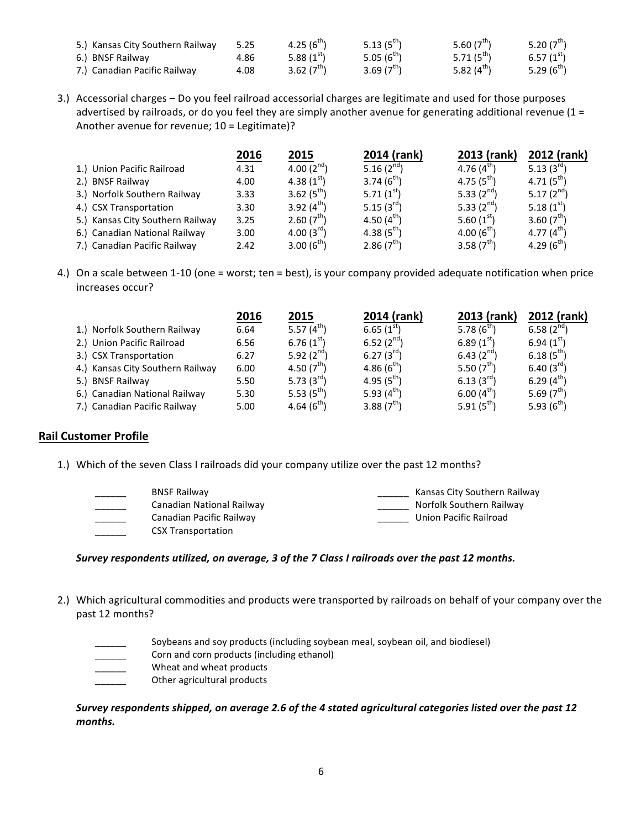| 5.) Kansas City Southern Railway | 5.25 | 4.25 $(6^{th})$ | 5.13 $(5^{th})$        | 5.60 $(7th)$    | 5.20 $(7th)$             |
|----------------------------------|------|-----------------|------------------------|-----------------|--------------------------|
| 6.) BNSF Railway                 | 4.86 | 5.88 $(1st)$    | 5.05(6 <sup>m</sup> )  | 5.71 $(5^{th})$ | $6.57(1^{51})$           |
| 7.) Canadian Pacific Railway     | 4.08 | 3.62 $(7^{th})$ | 3.69(7 <sup>th</sup> ) | 5.82 $(4th)$    | 5.29 ( $6^{\text{th}}$ ) |

3.) Accessorial charges – Do you feel railroad accessorial charges are legitimate and used for those purposes advertised by railroads, or do you feel they are simply another avenue for generating additional revenue  $(1 =$ Another avenue for revenue;  $10 =$  Legitimate)?

|                                  | 2016 | 2015                   | 2014 (rank)     | 2013 (rank)     | 2012 (rank)     |
|----------------------------------|------|------------------------|-----------------|-----------------|-----------------|
| 1.) Union Pacific Railroad       | 4.31 | 4.00 $(2^{nd})$        | 5.16 $(2^{nd})$ | 4.76 $(4^{th})$ | 5.13 $(3^{rd})$ |
| 2.) BNSF Railway                 | 4.00 | 4.38 $(1st)$           | 3.74 $(6^{th})$ | $4.75(5^{th})$  | $4.71(5^{th})$  |
| 3.) Norfolk Southern Railway     | 3.33 | 3.62 $(5^{th})$        | 5.71 $(1st)$    | 5.33 $(2^{nd})$ | 5.17 $(2^{nd})$ |
| 4.) CSX Transportation           | 3.30 | 3.92 $(4^{th})$        | 5.15 $(3^{rd})$ | 5.33 $(2^{nd})$ | 5.18 $(1st)$    |
| 5.) Kansas City Southern Railway | 3.25 | 2.60(7 <sup>th</sup> ) | 4.50 $(4^{th})$ | 5.60 $(1st)$    | 3.60 $(7^{th})$ |
| 6.) Canadian National Railway    | 3.00 | 4.00 $(3^{rd})$        | 4.38 $(5^{th})$ | 4.00 $(6^{th})$ | 4.77 $(4^{th})$ |
| 7.) Canadian Pacific Railway     | 2.42 | 3.00 $(6^{th})$        | 2.86 $(7^{th})$ | 3.58 $(7th)$    | 4.29 $(6^{th}$  |

4.) On a scale between 1-10 (one = worst; ten = best), is your company provided adequate notification when price increases occur?

|                                  | 2016 | 2015            | 2014 (rank)     | 2013 (rank)     | 2012 (rank)     |
|----------------------------------|------|-----------------|-----------------|-----------------|-----------------|
| 1.) Norfolk Southern Railway     | 6.64 | 5.57 $(4^{th})$ | 6.65 $(1st)$    | 5.78 $(6^{th})$ | 6.58 $(2^{nd})$ |
| 2.) Union Pacific Railroad       | 6.56 | 6.76 $(1st)$    | 6.52 $(2^{nd})$ | 6.89 $(1st)$    | 6.94 $(1st)$    |
| 3.) CSX Transportation           | 6.27 | 5.92 $(2^{nd})$ | 6.27 $(3^{rd})$ | 6.43 $(2^{nd})$ | 6.18 $(5^{th})$ |
| 4.) Kansas City Southern Railway | 6.00 | 4.50 $(7th)$    | 4.86 $(6^{th})$ | 5.50 $(7th)$    | 6.40 $(3^{rd}$  |
| 5.) BNSF Railway                 | 5.50 | 5.73 $(3^{rd})$ | 4.95 $(5^{th})$ | 6.13 $(3^{rd})$ | 6.29 $(4^{th}$  |
| 6.) Canadian National Railway    | 5.30 | 5.53 $(5^{th})$ | 5.93 $(4th)$    | $6.00(4^{th})$  | 5.69 $(7th)$    |
| 7.) Canadian Pacific Railway     | 5.00 | 4.64 $(6^{th})$ | 3.88 $(7th)$    | 5.91 $(5^{th})$ | 5.93 $(6^{th})$ |

#### **Rail Customer Profile**

1.) Which of the seven Class I railroads did your company utilize over the past 12 months?

| <b>BNSF Railway</b>       | Kansas City Southern Railway |
|---------------------------|------------------------------|
| Canadian National Railway | Norfolk Southern Railway     |
| Canadian Pacific Railway  | Union Pacific Railroad       |
| <b>CSX Transportation</b> |                              |

#### *Survey respondents utilized, on average, 3 of the 7 Class I railroads over the past 12 months.*

- 2.) Which agricultural commodities and products were transported by railroads on behalf of your company over the past 12 months?
	- Soybeans and soy products (including soybean meal, soybean oil, and biodiesel)
	- Corn and corn products (including ethanol)
	- Wheat and wheat products
	- Other agricultural products

#### *Survey respondents shipped, on average 2.6 of the 4 stated agricultural categories listed over the past 12 months.*